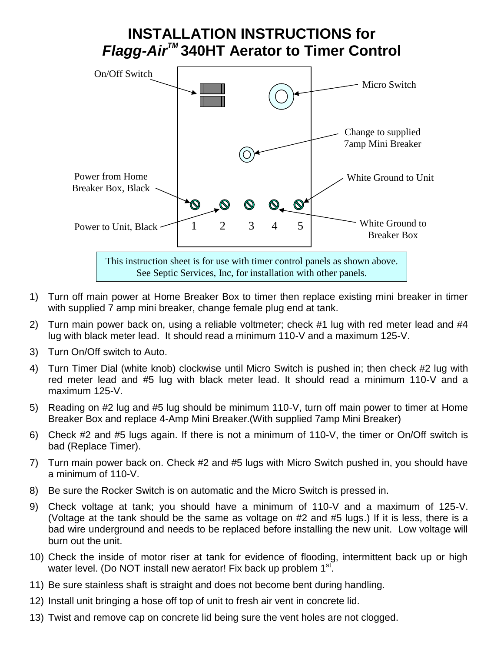## **INSTALLATION INSTRUCTIONS for**  *Flagg-AirTM* **340HT Aerator to Timer Control**



- 1) Turn off main power at Home Breaker Box to timer then replace existing mini breaker in timer with supplied 7 amp mini breaker, change female plug end at tank.
- 2) Turn main power back on, using a reliable voltmeter; check #1 lug with red meter lead and #4 lug with black meter lead. It should read a minimum 110-V and a maximum 125-V.
- 3) Turn On/Off switch to Auto.
- 4) Turn Timer Dial (white knob) clockwise until Micro Switch is pushed in; then check #2 lug with red meter lead and #5 lug with black meter lead. It should read a minimum 110-V and a maximum 125-V.
- 5) Reading on #2 lug and #5 lug should be minimum 110-V, turn off main power to timer at Home Breaker Box and replace 4-Amp Mini Breaker.(With supplied 7amp Mini Breaker)
- 6) Check #2 and #5 lugs again. If there is not a minimum of 110-V, the timer or On/Off switch is bad (Replace Timer).
- 7) Turn main power back on. Check #2 and #5 lugs with Micro Switch pushed in, you should have a minimum of 110-V.
- 8) Be sure the Rocker Switch is on automatic and the Micro Switch is pressed in.
- 9) Check voltage at tank; you should have a minimum of 110-V and a maximum of 125-V. (Voltage at the tank should be the same as voltage on #2 and #5 lugs.) If it is less, there is a bad wire underground and needs to be replaced before installing the new unit. Low voltage will burn out the unit.
- 10) Check the inside of motor riser at tank for evidence of flooding, intermittent back up or high water level. (Do NOT install new aerator! Fix back up problem 1<sup>st</sup>.
- 11) Be sure stainless shaft is straight and does not become bent during handling.
- 12) Install unit bringing a hose off top of unit to fresh air vent in concrete lid.
- 13) Twist and remove cap on concrete lid being sure the vent holes are not clogged.